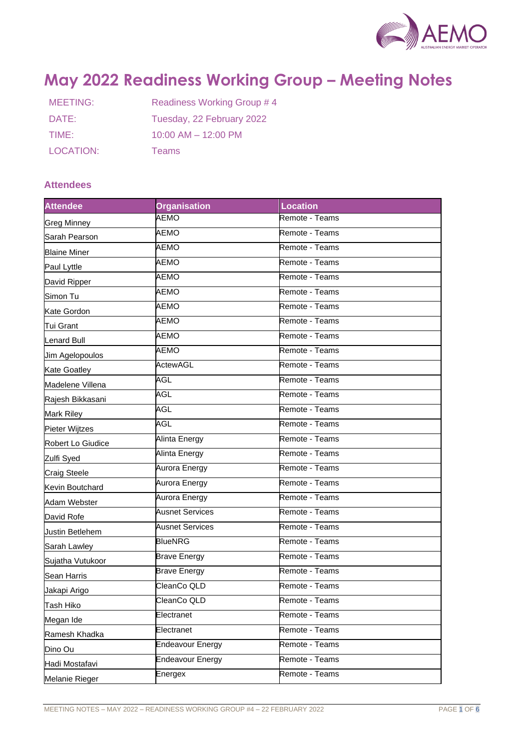

# **May 2022 Readiness Working Group – Meeting Notes**

| MEETING:  | Readiness Working Group #4 |  |
|-----------|----------------------------|--|
| DATE:     | Tuesday, 22 February 2022  |  |
| TIME:     | $10:00$ AM $- 12:00$ PM    |  |
| LOCATION: | <b>Teams</b>               |  |

# **Attendees**

| <b>Attendee</b>        | <b>Organisation</b>     | <b>Location</b> |
|------------------------|-------------------------|-----------------|
| <b>Greg Minney</b>     | <b>AEMO</b>             | Remote - Teams  |
| Sarah Pearson          | AEMO                    | Remote - Teams  |
| <b>Blaine Miner</b>    | AEMO                    | Remote - Teams  |
| Paul Lyttle            | <b>AEMO</b>             | Remote - Teams  |
| David Ripper           | <b>AEMO</b>             | Remote - Teams  |
| Simon Tu               | AEMO                    | Remote - Teams  |
| Kate Gordon            | AEMO                    | Remote - Teams  |
| Tui Grant              | <b>AEMO</b>             | Remote - Teams  |
| Lenard Bull            | <b>AEMO</b>             | Remote - Teams  |
| <b>Jim Agelopoulos</b> | AEMO                    | Remote - Teams  |
| <b>Kate Goatley</b>    | <b>ActewAGL</b>         | Remote - Teams  |
| Madelene Villena       | <b>AGL</b>              | Remote - Teams  |
| Rajesh Bikkasani       | AGL                     | Remote - Teams  |
| Mark Riley             | AGL                     | Remote - Teams  |
| Pieter Wijtzes         | AGL                     | Remote - Teams  |
| Robert Lo Giudice      | Alinta Energy           | Remote - Teams  |
| Zulfi Syed             | Alinta Energy           | Remote - Teams  |
| <b>Craig Steele</b>    | Aurora Energy           | Remote - Teams  |
| Kevin Boutchard        | Aurora Energy           | Remote - Teams  |
| Adam Webster           | Aurora Energy           | Remote - Teams  |
| David Rofe             | <b>Ausnet Services</b>  | Remote - Teams  |
| <b>Justin Betlehem</b> | <b>Ausnet Services</b>  | Remote - Teams  |
| Sarah Lawley           | <b>BlueNRG</b>          | Remote - Teams  |
| Sujatha Vutukoor       | <b>Brave Energy</b>     | Remote - Teams  |
| Sean Harris            | <b>Brave Energy</b>     | Remote - Teams  |
| Jakapi Arigo           | CleanCo QLD             | Remote - Teams  |
| <b>Tash Hiko</b>       | CleanCo QLD             | Remote - Teams  |
| Megan Ide              | Electranet              | Remote - Teams  |
| Ramesh Khadka          | Electranet              | Remote - Teams  |
| Dino Ou                | <b>Endeavour Energy</b> | Remote - Teams  |
| Hadi Mostafavi         | <b>Endeavour Energy</b> | Remote - Teams  |
| Melanie Rieger         | Energex                 | Remote - Teams  |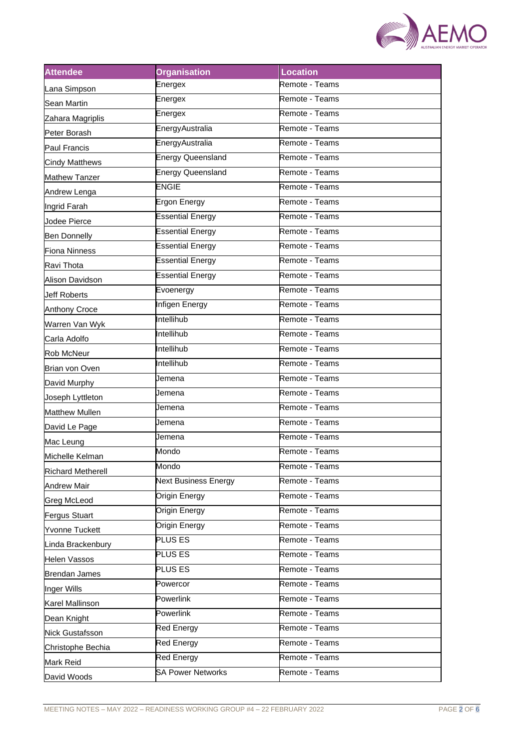

| <b>Attendee</b>          | <b>Organisation</b>         | <b>Location</b> |
|--------------------------|-----------------------------|-----------------|
| Lana Simpson             | Energex                     | Remote - Teams  |
| Sean Martin              | Energex                     | Remote - Teams  |
| Zahara Magriplis         | Energex                     | Remote - Teams  |
| Peter Borash             | EnergyAustralia             | Remote - Teams  |
| Paul Francis             | EnergyAustralia             | Remote - Teams  |
| <b>Cindy Matthews</b>    | <b>Energy Queensland</b>    | Remote - Teams  |
| <b>Mathew Tanzer</b>     | <b>Energy Queensland</b>    | Remote - Teams  |
| Andrew Lenga             | <b>ENGIE</b>                | Remote - Teams  |
| Ingrid Farah             | Ergon Energy                | Remote - Teams  |
| Jodee Pierce             | <b>Essential Energy</b>     | Remote - Teams  |
| <b>Ben Donnelly</b>      | <b>Essential Energy</b>     | Remote - Teams  |
| <b>Fiona Ninness</b>     | <b>Essential Energy</b>     | Remote - Teams  |
| Ravi Thota               | <b>Essential Energy</b>     | Remote - Teams  |
| Alison Davidson          | <b>Essential Energy</b>     | Remote - Teams  |
| <b>Jeff Roberts</b>      | Evoenergy                   | Remote - Teams  |
| <b>Anthony Croce</b>     | Infigen Energy              | Remote - Teams  |
| Warren Van Wyk           | Intellihub                  | Remote - Teams  |
| Carla Adolfo             | Intellihub                  | Remote - Teams  |
| <b>Rob McNeur</b>        | Intellihub                  | Remote - Teams  |
| Brian von Oven           | Intellihub                  | Remote - Teams  |
| David Murphy             | Jemena                      | Remote - Teams  |
| Joseph Lyttleton         | Jemena                      | Remote - Teams  |
| <b>Matthew Mullen</b>    | Jemena                      | Remote - Teams  |
| David Le Page            | Jemena                      | Remote - Teams  |
| Mac Leung                | Jemena                      | Remote - Teams  |
| Michelle Kelman          | Mondo                       | Remote - Teams  |
| <b>Richard Metherell</b> | Mondo                       | Remote - Teams  |
| <b>Andrew Mair</b>       | <b>Next Business Energy</b> | Remote - Teams  |
| Greg McLeod              | <b>Origin Energy</b>        | Remote - Teams  |
| <b>Fergus Stuart</b>     | Origin Energy               | Remote - Teams  |
| Yvonne Tuckett           | Origin Energy               | Remote - Teams  |
| Linda Brackenbury        | PLUS ES                     | Remote - Teams  |
| <b>Helen Vassos</b>      | PLUS <sub>ES</sub>          | Remote - Teams  |
| <b>Brendan James</b>     | <b>PLUS ES</b>              | Remote - Teams  |
| Inger Wills              | Powercor                    | Remote - Teams  |
| Karel Mallinson          | Powerlink                   | Remote - Teams  |
| Dean Knight              | Powerlink                   | Remote - Teams  |
| Nick Gustafsson          | <b>Red Energy</b>           | Remote - Teams  |
| Christophe Bechia        | <b>Red Energy</b>           | Remote - Teams  |
| Mark Reid                | <b>Red Energy</b>           | Remote - Teams  |
| David Woods              | <b>SA Power Networks</b>    | Remote - Teams  |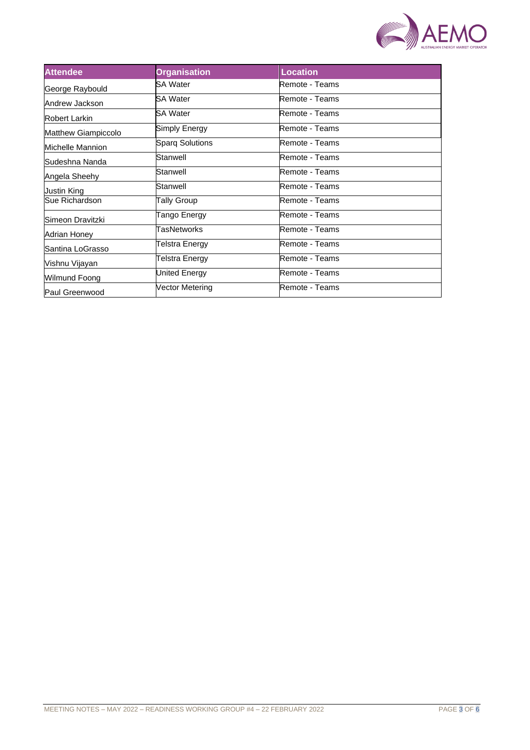

| <b>Attendee</b>            | <b>Organisation</b>    | <b>Location</b> |
|----------------------------|------------------------|-----------------|
| George Raybould            | SA Water               | Remote - Teams  |
| Andrew Jackson             | SA Water               | Remote - Teams  |
| Robert Larkin              | SA Water               | Remote - Teams  |
| <b>Matthew Giampiccolo</b> | Simply Energy          | Remote - Teams  |
| Michelle Mannion           | <b>Sparq Solutions</b> | Remote - Teams  |
| Sudeshna Nanda             | Stanwell               | Remote - Teams  |
| Angela Sheehy              | Stanwell               | Remote - Teams  |
| Justin King                | Stanwell               | Remote - Teams  |
| Sue Richardson             | Tally Group            | Remote - Teams  |
| Simeon Dravitzki           | Tango Energy           | Remote - Teams  |
| Adrian Honey               | TasNetworks            | Remote - Teams  |
| Santina LoGrasso           | Telstra Energy         | Remote - Teams  |
| Vishnu Vijayan             | Telstra Energy         | Remote - Teams  |
| Wilmund Foong              | United Energy          | Remote - Teams  |
| Paul Greenwood             | Vector Metering        | Remote - Teams  |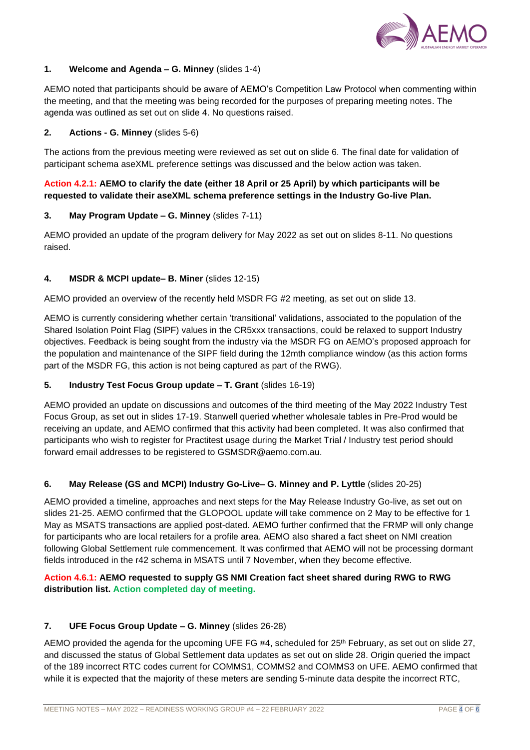

## **1. Welcome and Agenda – G. Minney** (slides 1-4)

AEMO noted that participants should be aware of AEMO's Competition Law Protocol when commenting within the meeting, and that the meeting was being recorded for the purposes of preparing meeting notes. The agenda was outlined as set out on slide 4. No questions raised.

## **2. Actions - G. Minney** (slides 5-6)

The actions from the previous meeting were reviewed as set out on slide 6. The final date for validation of participant schema aseXML preference settings was discussed and the below action was taken.

# **Action 4.2.1: AEMO to clarify the date (either 18 April or 25 April) by which participants will be requested to validate their aseXML schema preference settings in the Industry Go-live Plan.**

#### **3. May Program Update – G. Minney** (slides 7-11)

AEMO provided an update of the program delivery for May 2022 as set out on slides 8-11. No questions raised.

#### **4. MSDR & MCPI update– B. Miner** (slides 12-15)

AEMO provided an overview of the recently held MSDR FG #2 meeting, as set out on slide 13.

AEMO is currently considering whether certain 'transitional' validations, associated to the population of the Shared Isolation Point Flag (SIPF) values in the CR5xxx transactions, could be relaxed to support Industry objectives. Feedback is being sought from the industry via the MSDR FG on AEMO's proposed approach for the population and maintenance of the SIPF field during the 12mth compliance window (as this action forms part of the MSDR FG, this action is not being captured as part of the RWG).

## **5. Industry Test Focus Group update – T. Grant** (slides 16-19)

AEMO provided an update on discussions and outcomes of the third meeting of the May 2022 Industry Test Focus Group, as set out in slides 17-19. Stanwell queried whether wholesale tables in Pre-Prod would be receiving an update, and AEMO confirmed that this activity had been completed. It was also confirmed that participants who wish to register for Practitest usage during the Market Trial / Industry test period should forward email addresses to be registered to GSMSDR@aemo.com.au.

#### **6. May Release (GS and MCPI) Industry Go-Live– G. Minney and P. Lyttle** (slides 20-25)

AEMO provided a timeline, approaches and next steps for the May Release Industry Go-live, as set out on slides 21-25. AEMO confirmed that the GLOPOOL update will take commence on 2 May to be effective for 1 May as MSATS transactions are applied post-dated. AEMO further confirmed that the FRMP will only change for participants who are local retailers for a profile area. AEMO also shared a fact sheet on NMI creation following Global Settlement rule commencement. It was confirmed that AEMO will not be processing dormant fields introduced in the r42 schema in MSATS until 7 November, when they become effective.

# **Action 4.6.1: AEMO requested to supply GS NMI Creation fact sheet shared during RWG to RWG distribution list. Action completed day of meeting.**

#### **7. UFE Focus Group Update – G. Minney** (slides 26-28)

AEMO provided the agenda for the upcoming UFE FG #4, scheduled for 25<sup>th</sup> February, as set out on slide 27, and discussed the status of Global Settlement data updates as set out on slide 28. Origin queried the impact of the 189 incorrect RTC codes current for COMMS1, COMMS2 and COMMS3 on UFE. AEMO confirmed that while it is expected that the majority of these meters are sending 5-minute data despite the incorrect RTC,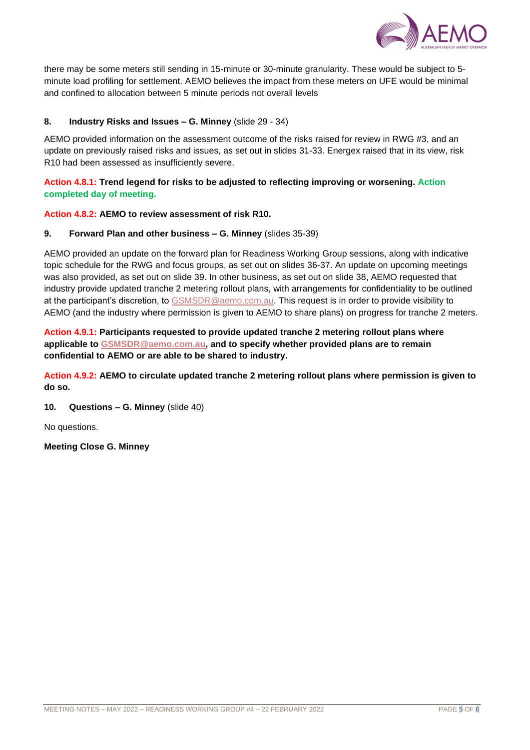

there may be some meters still sending in 15-minute or 30-minute granularity. These would be subject to 5 minute load profiling for settlement. AEMO believes the impact from these meters on UFE would be minimal and confined to allocation between 5 minute periods not overall levels

# **8. Industry Risks and Issues – G. Minney** (slide 29 - 34)

AEMO provided information on the assessment outcome of the risks raised for review in RWG #3, and an update on previously raised risks and issues, as set out in slides 31-33. Energex raised that in its view, risk R10 had been assessed as insufficiently severe.

# **Action 4.8.1: Trend legend for risks to be adjusted to reflecting improving or worsening. Action completed day of meeting.**

# **Action 4.8.2: AEMO to review assessment of risk R10.**

# **9. Forward Plan and other business – G. Minney** (slides 35-39)

AEMO provided an update on the forward plan for Readiness Working Group sessions, along with indicative topic schedule for the RWG and focus groups, as set out on slides 36-37. An update on upcoming meetings was also provided, as set out on slide 39. In other business, as set out on slide 38, AEMO requested that industry provide updated tranche 2 metering rollout plans, with arrangements for confidentiality to be outlined at the participant's discretion, to [GSMSDR@aemo.com.au.](mailto:GSMSDR@aemo.com.au) This request is in order to provide visibility to AEMO (and the industry where permission is given to AEMO to share plans) on progress for tranche 2 meters.

**Action 4.9.1: Participants requested to provide updated tranche 2 metering rollout plans where applicable to [GSMSDR@aemo.com.au,](mailto:GSMSDR@aemo.com.au) and to specify whether provided plans are to remain confidential to AEMO or are able to be shared to industry.**

**Action 4.9.2: AEMO to circulate updated tranche 2 metering rollout plans where permission is given to do so.**

**10. Questions – G. Minney** (slide 40)

No questions.

**Meeting Close G. Minney**